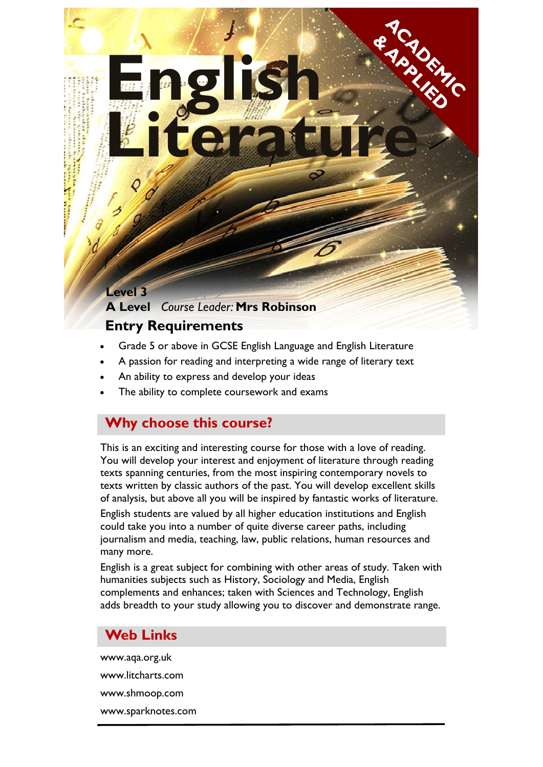#### **Level 3**

# **A Level** *Course Leader:* **Mrs Robinson**

**English** 

### **Entry Requirements**

Grade 5 or above in GCSE English Language and English Literature

**Literature** 

- A passion for reading and interpreting a wide range of literary text
- An ability to express and develop your ideas
- The ability to complete coursework and exams

### **Why choose this course?**

This is an exciting and interesting course for those with a love of reading. You will develop your interest and enjoyment of literature through reading texts spanning centuries, from the most inspiring contemporary novels to texts written by classic authors of the past. You will develop excellent skills of analysis, but above all you will be inspired by fantastic works of literature. English students are valued by all higher education institutions and English could take you into a number of quite diverse career paths, including journalism and media, teaching, law, public relations, human resources and many more.

English is a great subject for combining with other areas of study. Taken with humanities subjects such as History, Sociology and Media, English complements and enhances; taken with Sciences and Technology, English adds breadth to your study allowing you to discover and demonstrate range.

### **Web Links**

www.aqa.org.uk www.litcharts.com www.shmoop.com www.sparknotes.com